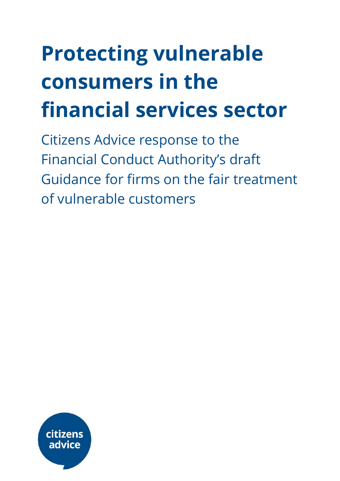# **Protecting vulnerable consumers in the financial services sector**

Citizens Advice response to the Financial Conduct Authority's draft Guidance for firms on the fair treatment of vulnerable customers

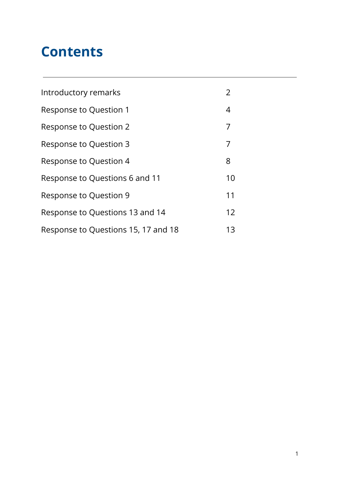# **Contents**

| Introductory remarks                | 2  |
|-------------------------------------|----|
| Response to Question 1              | 4  |
| Response to Question 2              | 7  |
| Response to Question 3              | 7  |
| Response to Question 4              | 8  |
| Response to Questions 6 and 11      | 10 |
| Response to Question 9              | 11 |
| Response to Questions 13 and 14     | 12 |
| Response to Questions 15, 17 and 18 | 13 |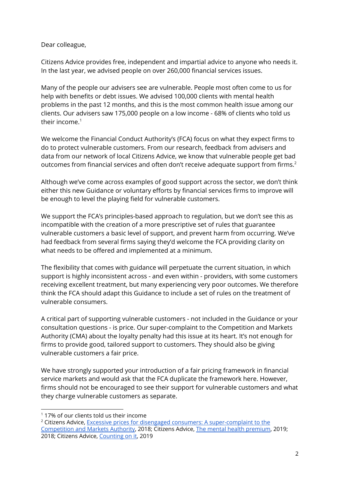Dear colleague,

Citizens Advice provides free, independent and impartial advice to anyone who needs it. In the last year, we advised people on over 260,000 financial services issues.

Many of the people our advisers see are vulnerable. People most often come to us for help with benefits or debt issues. We advised 100,000 clients with mental health problems in the past 12 months, and this is the most common health issue among our clients. Our advisers saw 175,000 people on a low income - 68% of clients who told us their income. 1

We welcome the Financial Conduct Authority's (FCA) focus on what they expect firms to do to protect vulnerable customers. From our research, feedback from advisers and data from our network of local Citizens Advice, we know that vulnerable people get bad outcomes from financial services and often don't receive adequate support from firms.<sup>2</sup>

Although we've come across examples of good support across the sector, we don't think either this new Guidance or voluntary efforts by financial services firms to improve will be enough to level the playing field for vulnerable customers.

We support the FCA's principles-based approach to regulation, but we don't see this as incompatible with the creation of a more prescriptive set of rules that guarantee vulnerable customers a basic level of support, and prevent harm from occurring. We've had feedback from several firms saying they'd welcome the FCA providing clarity on what needs to be offered and implemented at a minimum.

The flexibility that comes with guidance will perpetuate the current situation, in which support is highly inconsistent across - and even within - providers, with some customers receiving excellent treatment, but many experiencing very poor outcomes. We therefore think the FCA should adapt this Guidance to include a set of rules on the treatment of vulnerable consumers.

A critical part of supporting vulnerable customers - not included in the Guidance or your consultation questions - is price. Our super-complaint to the Competition and Markets Authority (CMA) about the loyalty penalty had this issue at its heart. It's not enough for firms to provide good, tailored support to customers. They should also be giving vulnerable customers a fair price.

We have strongly supported your introduction of a fair pricing framework in financial service markets and would ask that the FCA duplicate the framework here. However, firms should not be encouraged to see their support for vulnerable customers and what they charge vulnerable customers as separate.

 $117\%$  of our clients told us their income

<sup>&</sup>lt;sup>2</sup> Citizens Advice, Excessive prices for disengaged consumers: A [super-complaint](https://www.citizensadvice.org.uk/Global/CitizensAdvice/Consumer%20publications/Super-complaint%20-%20Excessive%20prices%20for%20disengaged%20consumers%20(1).pdf) to the [Competition](https://www.citizensadvice.org.uk/Global/CitizensAdvice/Consumer%20publications/Super-complaint%20-%20Excessive%20prices%20for%20disengaged%20consumers%20(1).pdf) and Markets Authority, 2018; Citizens Advice, The mental health [premium](https://www.citizensadvice.org.uk/Global/CitizensAdvice/Consumer%20publications/Mental%20Health%20Premium.pdf), 2019; 2018; Citizens Advice, [Counting](https://www.citizensadvice.org.uk/Global/CitizensAdvice/Consumer%20publications/Minimum%20standards%20report%20-%20final%20version.pdf) on it, 2019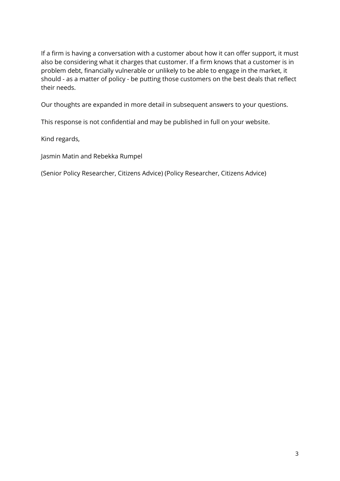If a firm is having a conversation with a customer about how it can offer support, it must also be considering what it charges that customer. If a firm knows that a customer is in problem debt, financially vulnerable or unlikely to be able to engage in the market, it should - as a matter of policy - be putting those customers on the best deals that reflect their needs.

Our thoughts are expanded in more detail in subsequent answers to your questions.

This response is not confidential and may be published in full on your website.

Kind regards,

Jasmin Matin and Rebekka Rumpel

(Senior Policy Researcher, Citizens Advice) (Policy Researcher, Citizens Advice)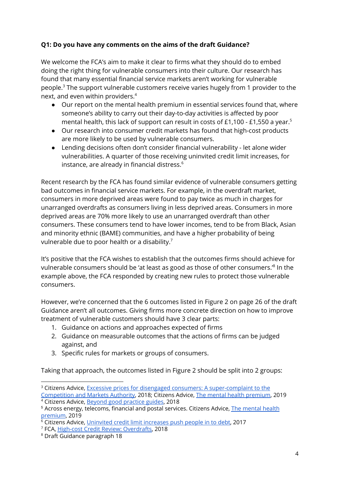# **Q1: Do you have any comments on the aims of the draft Guidance?**

We welcome the FCA's aim to make it clear to firms what they should do to embed doing the right thing for vulnerable consumers into their culture. Our research has found that many essential financial service markets aren't working for vulnerable people.<sup>3</sup> The support vulnerable customers receive varies hugely from 1 provider to the next, and even within providers. 4

- Our report on the mental health premium in essential services found that, where someone's ability to carry out their day-to-day activities is affected by poor mental health, this lack of support can result in costs of £1,100 - £1,550 a year. $^5$
- Our research into consumer credit markets has found that high-cost products are more likely to be used by vulnerable consumers.
- Lending decisions often don't consider financial vulnerability let alone wider vulnerabilities. A quarter of those receiving uninvited credit limit increases, for instance, are already in financial distress. 6

Recent research by the FCA has found similar evidence of vulnerable consumers getting bad outcomes in financial service markets. For example, in the overdraft market, consumers in more deprived areas were found to pay twice as much in charges for unarranged overdrafts as consumers living in less deprived areas. Consumers in more deprived areas are 70% more likely to use an unarranged overdraft than other consumers. These consumers tend to have lower incomes, tend to be from Black, Asian and minority ethnic (BAME) communities, and have a higher probability of being vulnerable due to poor health or a disability. $^7$ 

It's positive that the FCA wishes to establish that the outcomes firms should achieve for vulnerable consumers should be 'at least as good as those of other consumers.'<sup>8</sup> In the example above, the FCA responded by creating new rules to protect those vulnerable consumers.

However, we're concerned that the 6 outcomes listed in Figure 2 on page 26 of the draft Guidance aren't all outcomes. Giving firms more concrete direction on how to improve treatment of vulnerable customers should have 3 clear parts:

- 1. Guidance on actions and approaches expected of firms
- 2. Guidance on measurable outcomes that the actions of firms can be judged against, and
- 3. Specific rules for markets or groups of consumers.

Taking that approach, the outcomes listed in Figure 2 should be split into 2 groups:

<sup>&</sup>lt;sup>3</sup> Citizens Advice, Excessive prices for disengaged consumers: A [super-complaint](https://www.citizensadvice.org.uk/Global/CitizensAdvice/Consumer%20publications/Super-complaint%20-%20Excessive%20prices%20for%20disengaged%20consumers%20(1).pdf) to the [Competition](https://www.citizensadvice.org.uk/Global/CitizensAdvice/Consumer%20publications/Super-complaint%20-%20Excessive%20prices%20for%20disengaged%20consumers%20(1).pdf) and Markets Authority, 2018; Citizens Advice, The mental health [premium](https://www.citizensadvice.org.uk/Global/CitizensAdvice/Consumer%20publications/Mental%20Health%20Premium.pdf), 2019

<sup>4</sup> Citizens Advice, Beyond good [practice](https://www.citizensadvice.org.uk/Global/CitizensAdvice/Consumer%20publications/Mental%20Health%20Premium.pdf) guides, 2018

<sup>5</sup> Across energy, telecoms, financial and postal services. Citizens Advice, The [mental](https://www.citizensadvice.org.uk/Global/CitizensAdvice/Consumer%20publications/Mental%20Health%20Premium.pdf) health [premium](https://www.citizensadvice.org.uk/Global/CitizensAdvice/Consumer%20publications/Mental%20Health%20Premium.pdf), 2019

 $6$  Citizens Advice, [Uninvited](https://www.citizensadvice.org.uk/Global/CitizensAdvice/Debt%20and%20Money%20Publications/Credit%20limit%20increases%20briefing%20(1).pdf) credit limit increases push people in to debt, 2017

<sup>7</sup> FCA, High-cost Credit Review: [Overdrafts](https://www.fca.org.uk/publication/consultation/cp18-13.pdf), 2018

<sup>8</sup> Draft Guidance paragraph 18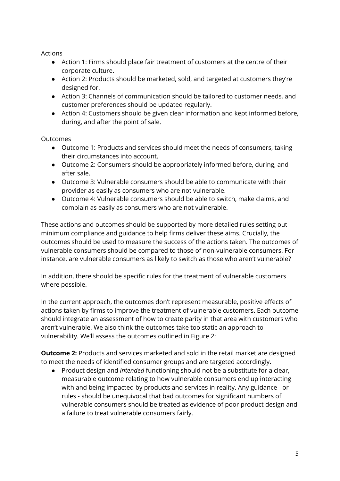Actions

- Action 1: Firms should place fair treatment of customers at the centre of their corporate culture.
- Action 2: Products should be marketed, sold, and targeted at customers they're designed for.
- Action 3: Channels of communication should be tailored to customer needs, and customer preferences should be updated regularly.
- Action 4: Customers should be given clear information and kept informed before, during, and after the point of sale.

Outcomes

- Outcome 1: Products and services should meet the needs of consumers, taking their circumstances into account.
- Outcome 2: Consumers should be appropriately informed before, during, and after sale.
- Outcome 3: Vulnerable consumers should be able to communicate with their provider as easily as consumers who are not vulnerable.
- Outcome 4: Vulnerable consumers should be able to switch, make claims, and complain as easily as consumers who are not vulnerable.

These actions and outcomes should be supported by more detailed rules setting out minimum compliance and guidance to help firms deliver these aims. Crucially, the outcomes should be used to measure the success of the actions taken. The outcomes of vulnerable consumers should be compared to those of non-vulnerable consumers. For instance, are vulnerable consumers as likely to switch as those who aren't vulnerable?

In addition, there should be specific rules for the treatment of vulnerable customers where possible.

In the current approach, the outcomes don't represent measurable, positive effects of actions taken by firms to improve the treatment of vulnerable customers. Each outcome should integrate an assessment of how to create parity in that area with customers who aren't vulnerable. We also think the outcomes take too static an approach to vulnerability. We'll assess the outcomes outlined in Figure 2:

**Outcome 2:** Products and services marketed and sold in the retail market are designed to meet the needs of identified consumer groups and are targeted accordingly.

● Product design and *intended* functioning should not be a substitute for a clear, measurable outcome relating to how vulnerable consumers end up interacting with and being impacted by products and services in reality. Any guidance - or rules - should be unequivocal that bad outcomes for significant numbers of vulnerable consumers should be treated as evidence of poor product design and a failure to treat vulnerable consumers fairly.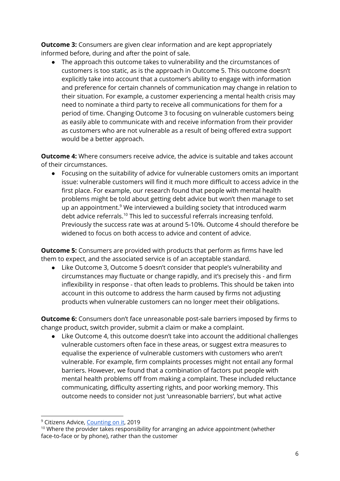**Outcome 3:** Consumers are given clear information and are kept appropriately informed before, during and after the point of sale.

● The approach this outcome takes to vulnerability and the circumstances of customers is too static, as is the approach in Outcome 5. This outcome doesn't explicitly take into account that a customer's ability to engage with information and preference for certain channels of communication may change in relation to their situation. For example, a customer experiencing a mental health crisis may need to nominate a third party to receive all communications for them for a period of time. Changing Outcome 3 to focusing on vulnerable customers being as easily able to communicate with and receive information from their provider as customers who are not vulnerable as a result of being offered extra support would be a better approach.

**Outcome 4:** Where consumers receive advice, the advice is suitable and takes account of their circumstances.

● Focusing on the suitability of advice for vulnerable customers omits an important issue: vulnerable customers will find it much more difficult to access advice in the first place. For example, our research found that people with mental health problems might be told about getting debt advice but won't then manage to set up an appointment.<sup>9</sup> We interviewed a building society that introduced warm debt advice referrals.<sup>10</sup> This led to successful referrals increasing tenfold. Previously the success rate was at around 5-10%. Outcome 4 should therefore be widened to focus on both access to advice and content of advice.

**Outcome 5:** Consumers are provided with products that perform as firms have led them to expect, and the associated service is of an acceptable standard.

Like Outcome 3, Outcome 5 doesn't consider that people's vulnerability and circumstances may fluctuate or change rapidly, and it's precisely this - and firm inflexibility in response - that often leads to problems. This should be taken into account in this outcome to address the harm caused by firms not adjusting products when vulnerable customers can no longer meet their obligations.

**Outcome 6:** Consumers don't face unreasonable post-sale barriers imposed by firms to change product, switch provider, submit a claim or make a complaint.

● Like Outcome 4, this outcome doesn't take into account the additional challenges vulnerable customers often face in these areas, or suggest extra measures to equalise the experience of vulnerable customers with customers who aren't vulnerable. For example, firm complaints processes might not entail any formal barriers. However, we found that a combination of factors put people with mental health problems off from making a complaint. These included reluctance communicating, difficulty asserting rights, and poor working memory. This outcome needs to consider not just 'unreasonable barriers', but what active

<sup>&</sup>lt;sup>9</sup> Citizens Advice, [Counting](https://www.citizensadvice.org.uk/Global/CitizensAdvice/Consumer%20publications/Minimum%20standards%20report%20-%20final%20version.pdf) on it, 2019

 $10$  Where the provider takes responsibility for arranging an advice appointment (whether face-to-face or by phone), rather than the customer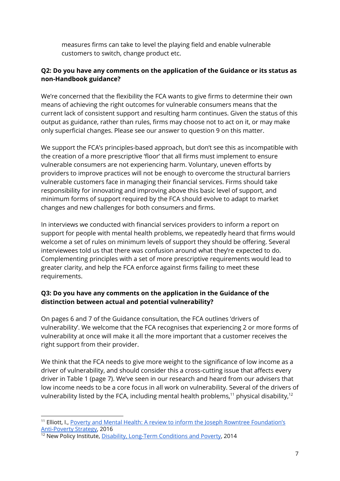measures firms can take to level the playing field and enable vulnerable customers to switch, change product etc.

# **Q2: Do you have any comments on the application of the Guidance or its status as non-Handbook guidance?**

We're concerned that the flexibility the FCA wants to give firms to determine their own means of achieving the right outcomes for vulnerable consumers means that the current lack of consistent support and resulting harm continues. Given the status of this output as guidance, rather than rules, firms may choose not to act on it, or may make only superficial changes. Please see our answer to question 9 on this matter.

We support the FCA's principles-based approach, but don't see this as incompatible with the creation of a more prescriptive 'floor' that all firms must implement to ensure vulnerable consumers are not experiencing harm. Voluntary, uneven efforts by providers to improve practices will not be enough to overcome the structural barriers vulnerable customers face in managing their financial services. Firms should take responsibility for innovating and improving above this basic level of support, and minimum forms of support required by the FCA should evolve to adapt to market changes and new challenges for both consumers and firms.

In interviews we conducted with financial services providers to inform a report on support for people with mental health problems, we repeatedly heard that firms would welcome a set of rules on minimum levels of support they should be offering. Several interviewees told us that there was confusion around what they're expected to do. Complementing principles with a set of more prescriptive requirements would lead to greater clarity, and help the FCA enforce against firms failing to meet these requirements.

# **Q3: Do you have any comments on the application in the Guidance of the distinction between actual and potential vulnerability?**

On pages 6 and 7 of the Guidance consultation, the FCA outlines 'drivers of vulnerability'. We welcome that the FCA recognises that experiencing 2 or more forms of vulnerability at once will make it all the more important that a customer receives the right support from their provider.

We think that the FCA needs to give more weight to the significance of low income as a driver of vulnerability, and should consider this a cross-cutting issue that affects every driver in Table 1 (page 7). We've seen in our research and heard from our advisers that low income needs to be a core focus in all work on vulnerability. Several of the drivers of vulnerability listed by the FCA, including mental health problems, $^{\rm 11}$  physical disability, $^{\rm 12}$ 

<sup>&</sup>lt;sup>11</sup> Elliott, I., Poverty and Mental Health: A review to inform the Joseph Rowntree [Foundation's](https://www.mentalhealth.org.uk/sites/default/files/Poverty%20and%20Mental%20Health.pdf) [Anti-Poverty](https://www.mentalhealth.org.uk/sites/default/files/Poverty%20and%20Mental%20Health.pdf) Strategy, 2016

<sup>&</sup>lt;sup>12</sup> New Policy Institute, Disability, [Long-Term](https://www.npi.org.uk/files/7814/0490/1005/Disability_long_term_conditions_and_poverty.pdf) Conditions and Poverty, 2014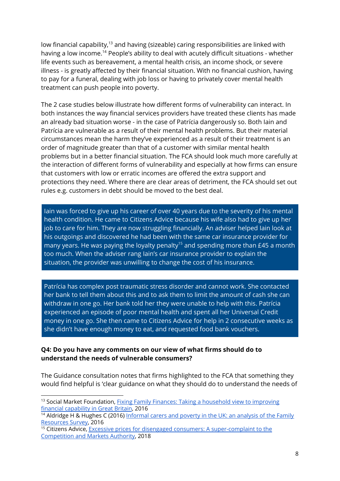low financial capability, $^{13}$  and having (sizeable) caring responsibilities are linked with having a low income.<sup>14</sup> People's ability to deal with acutely difficult situations - whether life events such as bereavement, a mental health crisis, an income shock, or severe illness - is greatly affected by their financial situation. With no financial cushion, having to pay for a funeral, dealing with job loss or having to privately cover mental health treatment can push people into poverty.

The 2 case studies below illustrate how different forms of vulnerability can interact. In both instances the way financial services providers have treated these clients has made an already bad situation worse - in the case of Patrícia dangerously so. Both Iain and Patrícia are vulnerable as a result of their mental health problems. But their material circumstances mean the harm they've experienced as a result of their treatment is an order of magnitude greater than that of a customer with similar mental health problems but in a better financial situation. The FCA should look much more carefully at the interaction of different forms of vulnerability and especially at how firms can ensure that customers with low or erratic incomes are offered the extra support and protections they need. Where there are clear areas of detriment, the FCA should set out rules e.g. customers in debt should be moved to the best deal.

Iain was forced to give up his career of over 40 years due to the severity of his mental health condition. He came to Citizens Advice because his wife also had to give up her job to care for him. They are now struggling financially. An adviser helped Iain look at his outgoings and discovered he had been with the same car insurance provider for many years. He was paying the loyalty penalty<sup>15</sup> and spending more than £45 a month too much. When the adviser rang Iain's car insurance provider to explain the situation, the provider was unwilling to change the cost of his insurance.

Patrícia has complex post traumatic stress disorder and cannot work. She contacted her bank to tell them about this and to ask them to limit the amount of cash she can withdraw in one go. Her bank told her they were unable to help with this. Patrícia experienced an episode of poor mental health and spent all her Universal Credit money in one go. She then came to Citizens Advice for help in 2 consecutive weeks as she didn't have enough money to eat, and requested food bank vouchers.

#### **Q4: Do you have any comments on our view of what firms should do to understand the needs of vulnerable consumers?**

The Guidance consultation notes that firms highlighted to the FCA that something they would find helpful is 'clear guidance on what they should do to understand the needs of

<sup>&</sup>lt;sup>13</sup> Social Market Foundation, *Fixing Family Finances: Taking a [household](http://www.smf.co.uk/publications/fixing-family-finances-taking-a-household-view-to-improving-financial-capability-in-great-britain/) view to improving* financial [capability](http://www.smf.co.uk/publications/fixing-family-finances-taking-a-household-view-to-improving-financial-capability-in-great-britain/) in Great Britain, 2016

<sup>&</sup>lt;sup>14</sup> Aldridge H & Hughes C (2016) [Informal](https://www.npi.org.uk/files/2114/6411/1359/Carers_and_poverty_in_the_UK_-_full_report.pdf) carers and poverty in the UK: an analysis of the Family [Resources](https://www.npi.org.uk/files/2114/6411/1359/Carers_and_poverty_in_the_UK_-_full_report.pdf) Survey, 2016

 $15$  Citizens Advice, Excessive prices for disengaged consumers: A [super-complaint](https://www.citizensadvice.org.uk/Global/CitizensAdvice/Consumer%20publications/Super-complaint%20-%20Excessive%20prices%20for%20disengaged%20consumers%20(1).pdf) to the [Competition](https://www.citizensadvice.org.uk/Global/CitizensAdvice/Consumer%20publications/Super-complaint%20-%20Excessive%20prices%20for%20disengaged%20consumers%20(1).pdf) and Markets Authority, 2018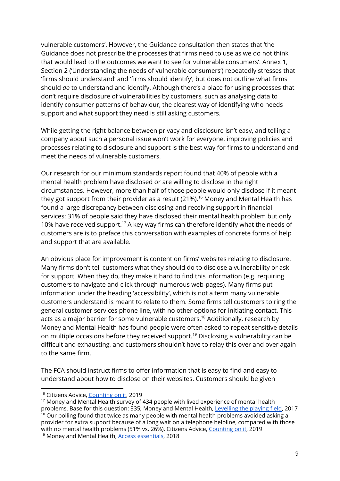vulnerable customers'. However, the Guidance consultation then states that 'the Guidance does not prescribe the processes that firms need to use as we do not think that would lead to the outcomes we want to see for vulnerable consumers'. Annex 1, Section 2 ('Understanding the needs of vulnerable consumers') repeatedly stresses that 'firms should understand' and 'firms should identify', but does not outline what firms should *do* to understand and identify. Although there's a place for using processes that don't require disclosure of vulnerabilities by customers, such as analysing data to identify consumer patterns of behaviour, the clearest way of identifying who needs support and what support they need is still asking customers.

While getting the right balance between privacy and disclosure isn't easy, and telling a company about such a personal issue won't work for everyone, improving policies and processes relating to disclosure and support is the best way for firms to understand and meet the needs of vulnerable customers.

Our research for our minimum standards report found that 40% of people with a mental health problem have disclosed or are willing to disclose in the right circumstances. However, more than half of those people would only disclose if it meant they got support from their provider as a result (21%).<sup>16</sup> Money and Mental Health has found a large discrepancy between disclosing and receiving support in financial services: 31% of people said they have disclosed their mental health problem but only 10% have received support.<sup>17</sup> A key way firms can therefore identify what the needs of customers are is to preface this conversation with examples of concrete forms of help and support that are available.

An obvious place for improvement is content on firms' websites relating to disclosure. Many firms don't tell customers what they should do to disclose a vulnerability or ask for support. When they do, they make it hard to find this information (e.g. requiring customers to navigate and click through numerous web-pages). Many firms put information under the heading 'accessibility', which is not a term many vulnerable customers understand is meant to relate to them. Some firms tell customers to ring the general customer services phone line, with no other options for initiating contact. This acts as a major barrier for some vulnerable customers.<sup>18</sup> Additionally, research by Money and Mental Health has found people were often asked to repeat sensitive details on multiple occasions before they received support.<sup>19</sup> Disclosing a vulnerability can be difficult and exhausting, and customers shouldn't have to relay this over and over again to the same firm.

The FCA should instruct firms to offer information that is easy to find and easy to understand about how to disclose on their websites. Customers should be given

<sup>&</sup>lt;sup>16</sup> Citizens Advice, [Counting](https://www.citizensadvice.org.uk/Global/CitizensAdvice/Consumer%20publications/Minimum%20standards%20report%20-%20final%20version.pdf) on it, 2019

<sup>&</sup>lt;sup>17</sup> Money and Mental Health survey of 434 people with lived experience of mental health problems. Base for this question: 335; Money and Mental Health, [Levelling](https://www.moneyandmentalhealth.org/wp-content/uploads/2017/12/Levelling-the-playing-field-Regulators-report.pdf) the playing field, 2017

 $18$  Our polling found that twice as many people with mental health problems avoided asking a provider for extra support because of a long wait on a telephone helpline, compared with those with no mental health problems (51% vs. 26%). Citizens Advice, [Counting](https://www.citizensadvice.org.uk/Global/CitizensAdvice/Consumer%20publications/Minimum%20standards%20report%20-%20final%20version.pdf) on it, 2019

<sup>&</sup>lt;sup>19</sup> Money and Mental Health, **Access essentials**, 2018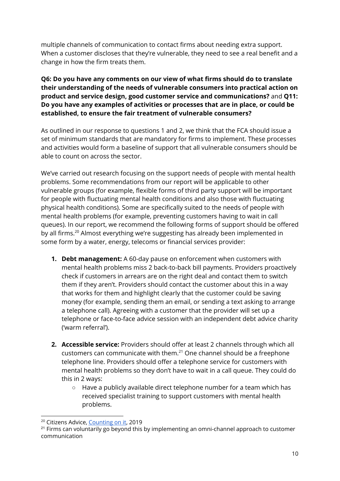multiple channels of communication to contact firms about needing extra support. When a customer discloses that they're vulnerable, they need to see a real benefit and a change in how the firm treats them.

#### **Q6: Do you have any comments on our view of what firms should do to translate their understanding of the needs of vulnerable consumers into practical action on product and service design, good customer service and communications?** and **Q11: Do you have any examples of activities or processes that are in place, or could be established, to ensure the fair treatment of vulnerable consumers?**

As outlined in our response to questions 1 and 2, we think that the FCA should issue a set of minimum standards that are mandatory for firms to implement. These processes and activities would form a baseline of support that all vulnerable consumers should be able to count on across the sector.

We've carried out research focusing on the support needs of people with mental health problems. Some recommendations from our report will be applicable to other vulnerable groups (for example, flexible forms of third party support will be important for people with fluctuating mental health conditions and also those with fluctuating physical health conditions). Some are specifically suited to the needs of people with mental health problems (for example, preventing customers having to wait in call queues). In our report, we recommend the following forms of support should be offered by all firms.<sup>20</sup> Almost everything we're suggesting has already been implemented in some form by a water, energy, telecoms or financial services provider:

- **1. Debt management:** A 60-day pause on enforcement when customers with mental health problems miss 2 back-to-back bill payments. Providers proactively check if customers in arrears are on the right deal and contact them to switch them if they aren't. Providers should contact the customer about this in a way that works for them and highlight clearly that the customer could be saving money (for example, sending them an email, or sending a text asking to arrange a telephone call). Agreeing with a customer that the provider will set up a telephone or face-to-face advice session with an independent debt advice charity ('warm referral').
- **2. Accessible service:** Providers should offer at least 2 channels through which all customers can communicate with them. $^{21}$  One channel should be a freephone telephone line. Providers should offer a telephone service for customers with mental health problems so they don't have to wait in a call queue. They could do this in 2 ways:
	- Have a publicly available direct telephone number for a team which has received specialist training to support customers with mental health problems.

<sup>&</sup>lt;sup>20</sup> Citizens Advice, [Counting](https://www.citizensadvice.org.uk/Global/CitizensAdvice/Consumer%20publications/Minimum%20standards%20report%20-%20final%20version.pdf) on it, 2019

 $21$  Firms can voluntarily go beyond this by implementing an omni-channel approach to customer communication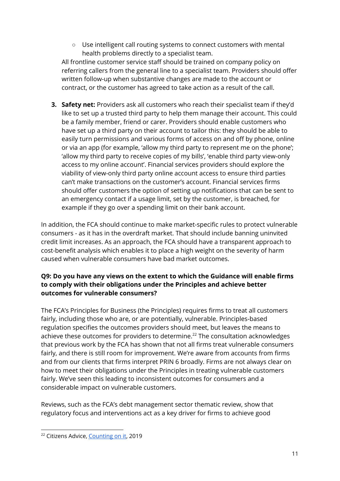○ Use intelligent call routing systems to connect customers with mental health problems directly to a specialist team.

All frontline customer service staff should be trained on company policy on referring callers from the general line to a specialist team. Providers should offer written follow-up when substantive changes are made to the account or contract, or the customer has agreed to take action as a result of the call.

**3. Safety net:** Providers ask all customers who reach their specialist team if they'd like to set up a trusted third party to help them manage their account. This could be a family member, friend or carer. Providers should enable customers who have set up a third party on their account to tailor this: they should be able to easily turn permissions and various forms of access on and off by phone, online or via an app (for example, 'allow my third party to represent me on the phone'; 'allow my third party to receive copies of my bills', 'enable third party view-only access to my online account'. Financial services providers should explore the viability of view-only third party online account access to ensure third parties can't make transactions on the customer's account. Financial services firms should offer customers the option of setting up notifications that can be sent to an emergency contact if a usage limit, set by the customer, is breached, for example if they go over a spending limit on their bank account.

In addition, the FCA should continue to make market-specific rules to protect vulnerable consumers - as it has in the overdraft market. That should include banning uninvited credit limit increases. As an approach, the FCA should have a transparent approach to cost-benefit analysis which enables it to place a high weight on the severity of harm caused when vulnerable consumers have bad market outcomes.

# **Q9: Do you have any views on the extent to which the Guidance will enable firms to comply with their obligations under the Principles and achieve better outcomes for vulnerable consumers?**

The FCA's Principles for Business (the Principles) requires firms to treat all customers fairly, including those who are, or are potentially, vulnerable. Principles-based regulation specifies the outcomes providers should meet, but leaves the means to achieve these outcomes for providers to determine. $^{22}$  The consultation acknowledges that previous work by the FCA has shown that not all firms treat vulnerable consumers fairly, and there is still room for improvement. We're aware from accounts from firms and from our clients that firms interpret PRIN 6 broadly. Firms are not always clear on how to meet their obligations under the Principles in treating vulnerable customers fairly. We've seen this leading to inconsistent outcomes for consumers and a considerable impact on vulnerable customers.

Reviews, such as the FCA's debt management sector thematic review, show that regulatory focus and interventions act as a key driver for firms to achieve good

<sup>&</sup>lt;sup>22</sup> Citizens Advice, [Counting](https://www.citizensadvice.org.uk/Global/CitizensAdvice/Consumer%20publications/Minimum%20standards%20report%20-%20final%20version.pdf) on it, 2019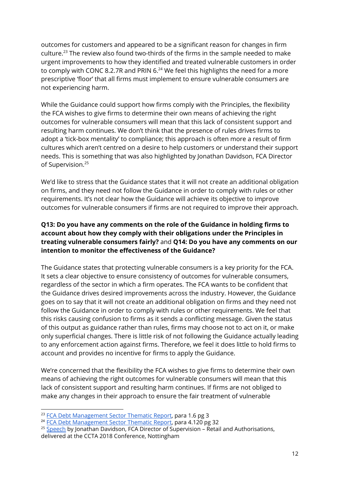outcomes for customers and appeared to be a significant reason for changes in firm culture.<sup>23</sup> The review also found two-thirds of the firms in the sample needed to make urgent improvements to how they identified and treated vulnerable customers in order to comply with CONC 8.2.7R and PRIN 6. $^{24}$  We feel this highlights the need for a more prescriptive 'floor' that all firms must implement to ensure vulnerable consumers are not experiencing harm.

While the Guidance could support how firms comply with the Principles, the flexibility the FCA wishes to give firms to determine their own means of achieving the right outcomes for vulnerable consumers will mean that this lack of consistent support and resulting harm continues. We don't think that the presence of rules drives firms to adopt a 'tick-box mentality' to compliance; this approach is often more a result of firm cultures which aren't centred on a desire to help customers or understand their support needs. This is something that was also highlighted by Jonathan Davidson, FCA Director of Supervision. 25

We'd like to stress that the Guidance states that it will not create an additional obligation on firms, and they need not follow the Guidance in order to comply with rules or other requirements. It's not clear how the Guidance will achieve its objective to improve outcomes for vulnerable consumers if firms are not required to improve their approach.

#### **Q13: Do you have any comments on the role of the Guidance in holding firms to account about how they comply with their obligations under the Principles in treating vulnerable consumers fairly?** and **Q14: Do you have any comments on our intention to monitor the effectiveness of the Guidance?**

The Guidance states that protecting vulnerable consumers is a key priority for the FCA. It sets a clear objective to ensure consistency of outcomes for vulnerable consumers, regardless of the sector in which a firm operates. The FCA wants to be confident that the Guidance drives desired improvements across the industry. However, the Guidance goes on to say that it will not create an additional obligation on firms and they need not follow the Guidance in order to comply with rules or other requirements. We feel that this risks causing confusion to firms as it sends a conflicting message. Given the status of this output as guidance rather than rules, firms may choose not to act on it, or make only superficial changes. There is little risk of not following the Guidance actually leading to any enforcement action against firms. Therefore, we feel it does little to hold firms to account and provides no incentive for firms to apply the Guidance.

We're concerned that the flexibility the FCA wishes to give firms to determine their own means of achieving the right outcomes for vulnerable consumers will mean that this lack of consistent support and resulting harm continues. If firms are not obliged to make any changes in their approach to ensure the fair treatment of vulnerable

<sup>&</sup>lt;sup>23</sup> FCA Debt [Management](https://www.fca.org.uk/publication/thematic-reviews/tr19-1.pdf) Sector Thematic Report, para 1.6 pg 3

<sup>&</sup>lt;sup>24</sup> FCA Debt [Management](https://www.fca.org.uk/publication/thematic-reviews/tr19-1.pdf) Sector Thematic Report, para 4.120 pg 32

 $25$  [Speech](https://www.fca.org.uk/news/speeches/realising-benefits-purposeful-leadership) by Jonathan Davidson, FCA Director of Supervision – Retail and Authorisations, delivered at the CCTA 2018 Conference, Nottingham